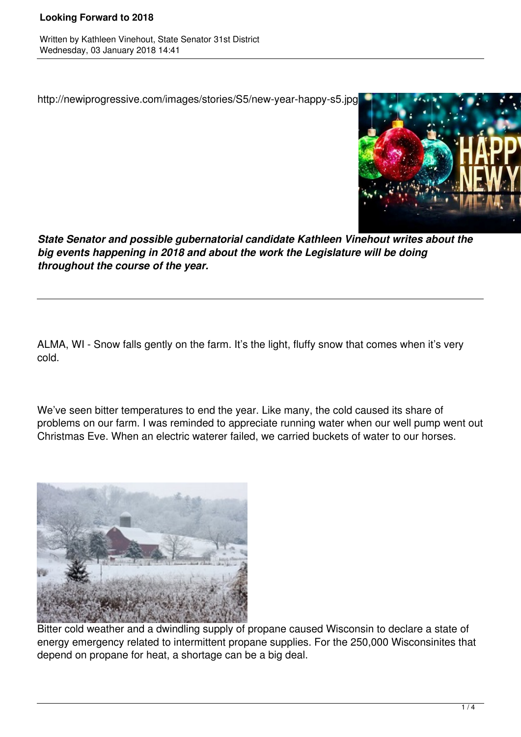Written by Kathleen Vinehout, State Senator 31st District Wednesday, 03 January 2018 14:41

http://newiprogressive.com/images/stories/S5/new-year-happy-s5.jpg



*State Senator and possible gubernatorial candidate Kathleen Vinehout writes about the big events happening in 2018 and about the work the Legislature will be doing throughout the course of the year.*

ALMA, WI - Snow falls gently on the farm. It's the light, fluffy snow that comes when it's very cold.

We've seen bitter temperatures to end the year. Like many, the cold caused its share of problems on our farm. I was reminded to appreciate running water when our well pump went out Christmas Eve. When an electric waterer failed, we carried buckets of water to our horses.



Bitter cold weather and a dwindling supply of propane caused Wisconsin to declare a state of energy emergency related to intermittent propane supplies. For the 250,000 Wisconsinites that depend on propane for heat, a shortage can be a big deal.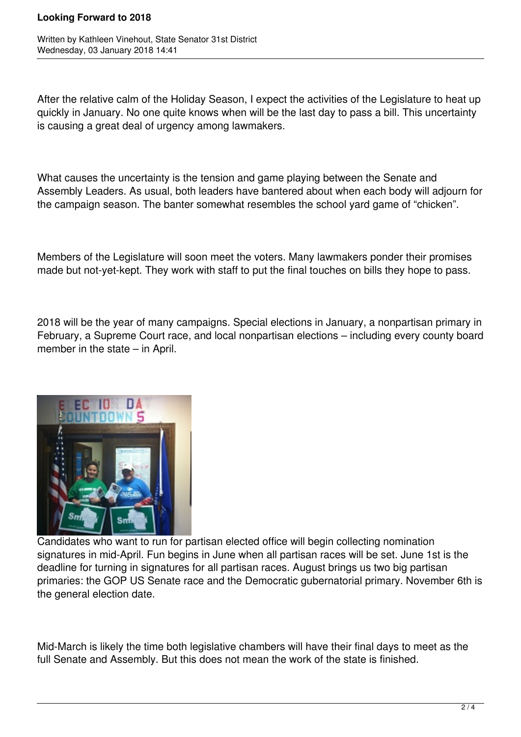Written by Kathleen Vinehout, State Senator 31st District Wednesday, 03 January 2018 14:41

After the relative calm of the Holiday Season, I expect the activities of the Legislature to heat up quickly in January. No one quite knows when will be the last day to pass a bill. This uncertainty is causing a great deal of urgency among lawmakers.

What causes the uncertainty is the tension and game playing between the Senate and Assembly Leaders. As usual, both leaders have bantered about when each body will adjourn for the campaign season. The banter somewhat resembles the school yard game of "chicken".

Members of the Legislature will soon meet the voters. Many lawmakers ponder their promises made but not-yet-kept. They work with staff to put the final touches on bills they hope to pass.

2018 will be the year of many campaigns. Special elections in January, a nonpartisan primary in February, a Supreme Court race, and local nonpartisan elections – including every county board member in the state – in April.



Candidates who want to run for partisan elected office will begin collecting nomination signatures in mid-April. Fun begins in June when all partisan races will be set. June 1st is the deadline for turning in signatures for all partisan races. August brings us two big partisan primaries: the GOP US Senate race and the Democratic gubernatorial primary. November 6th is the general election date.

Mid-March is likely the time both legislative chambers will have their final days to meet as the full Senate and Assembly. But this does not mean the work of the state is finished.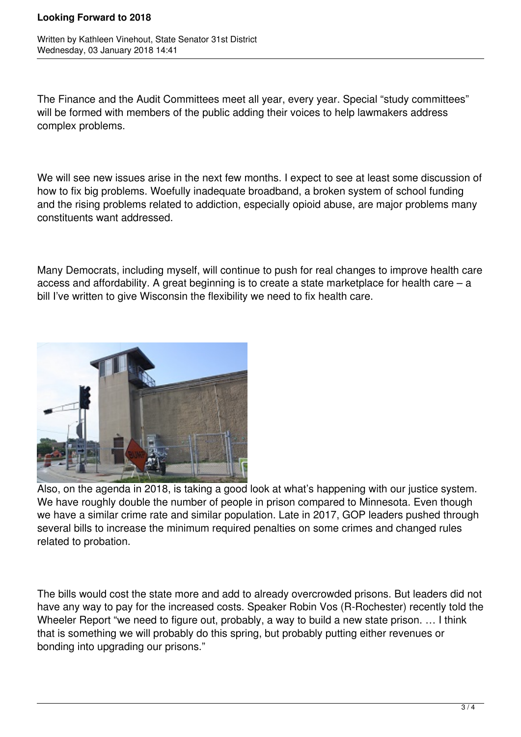Written by Kathleen Vinehout, State Senator 31st District Wednesday, 03 January 2018 14:41

The Finance and the Audit Committees meet all year, every year. Special "study committees" will be formed with members of the public adding their voices to help lawmakers address complex problems.

We will see new issues arise in the next few months. I expect to see at least some discussion of how to fix big problems. Woefully inadequate broadband, a broken system of school funding and the rising problems related to addiction, especially opioid abuse, are major problems many constituents want addressed.

Many Democrats, including myself, will continue to push for real changes to improve health care access and affordability. A great beginning is to create a state marketplace for health care – a bill I've written to give Wisconsin the flexibility we need to fix health care.



Also, on the agenda in 2018, is taking a good look at what's happening with our justice system. We have roughly double the number of people in prison compared to Minnesota. Even though we have a similar crime rate and similar population. Late in 2017, GOP leaders pushed through several bills to increase the minimum required penalties on some crimes and changed rules related to probation.

The bills would cost the state more and add to already overcrowded prisons. But leaders did not have any way to pay for the increased costs. Speaker Robin Vos (R-Rochester) recently told the Wheeler Report "we need to figure out, probably, a way to build a new state prison. … I think that is something we will probably do this spring, but probably putting either revenues or bonding into upgrading our prisons."